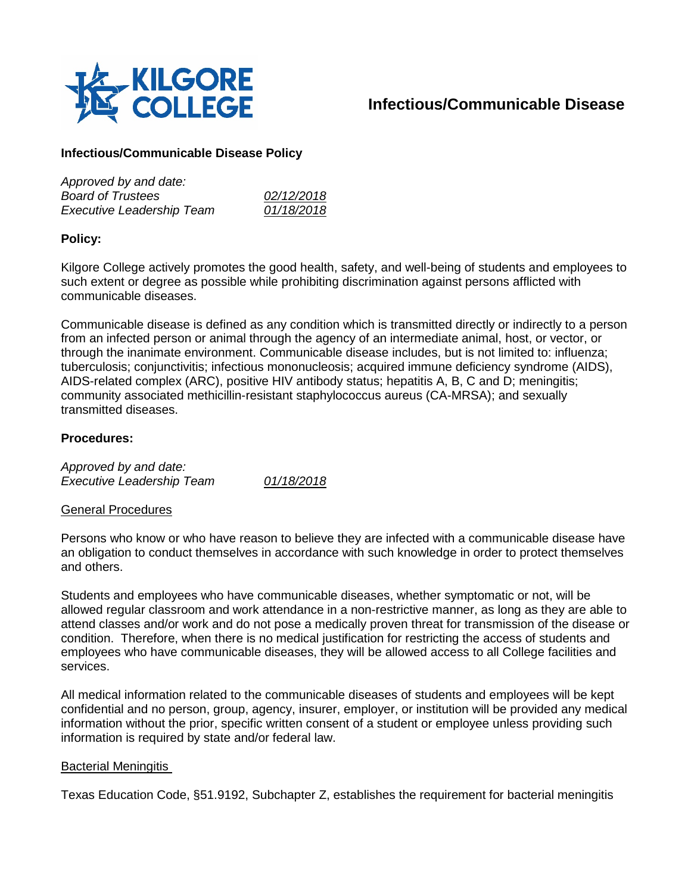

# **Infectious/Communicable Disease**

# **Infectious/Communicable Disease Policy**

| Approved by and date:            |            |
|----------------------------------|------------|
| <b>Board of Trustees</b>         | 02/12/2018 |
| <b>Executive Leadership Team</b> | 01/18/2018 |

# **Policy:**

Kilgore College actively promotes the good health, safety, and well-being of students and employees to such extent or degree as possible while prohibiting discrimination against persons afflicted with communicable diseases.

Communicable disease is defined as any condition which is transmitted directly or indirectly to a person from an infected person or animal through the agency of an intermediate animal, host, or vector, or through the inanimate environment. Communicable disease includes, but is not limited to: influenza; tuberculosis; conjunctivitis; infectious mononucleosis; acquired immune deficiency syndrome (AIDS), AIDS-related complex (ARC), positive HIV antibody status; hepatitis A, B, C and D; meningitis; community associated methicillin-resistant staphylococcus aureus (CA-MRSA); and sexually transmitted diseases.

## **Procedures:**

*Approved by and date: Executive Leadership Team 01/18/2018*

## General Procedures

Persons who know or who have reason to believe they are infected with a communicable disease have an obligation to conduct themselves in accordance with such knowledge in order to protect themselves and others.

Students and employees who have communicable diseases, whether symptomatic or not, will be allowed regular classroom and work attendance in a non-restrictive manner, as long as they are able to attend classes and/or work and do not pose a medically proven threat for transmission of the disease or condition. Therefore, when there is no medical justification for restricting the access of students and employees who have communicable diseases, they will be allowed access to all College facilities and services.

All medical information related to the communicable diseases of students and employees will be kept confidential and no person, group, agency, insurer, employer, or institution will be provided any medical information without the prior, specific written consent of a student or employee unless providing such information is required by state and/or federal law.

#### Bacterial Meningitis

Texas Education Code, §51.9192, Subchapter Z, establishes the requirement for bacterial meningitis